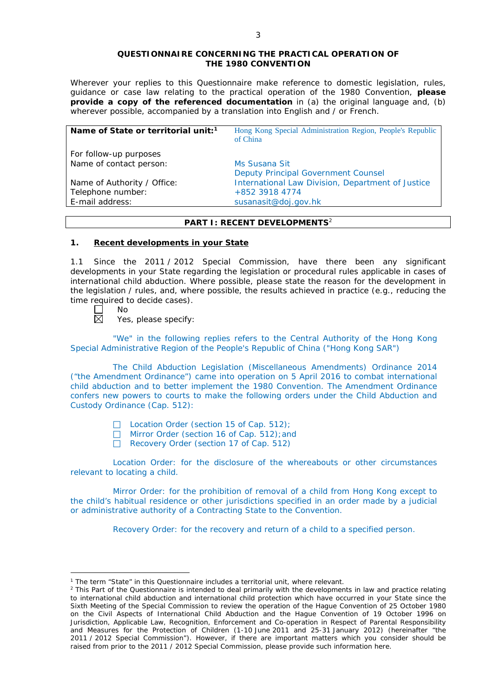### **QUESTIONNAIRE CONCERNING THE PRACTICAL OPERATION OF THE 1980 CONVENTION**

*Wherever your replies to this Questionnaire make reference to domestic legislation, rules, guidance or case law relating to the practical operation of the 1980 Convention, please provide a copy of the referenced documentation in (a) the original language and, (b) wherever possible, accompanied by a translation into English and / or French.* 

| Hong Kong Special Administration Region, People's Republic |
|------------------------------------------------------------|
|                                                            |
|                                                            |
|                                                            |
| International Law Division, Department of Justice          |
|                                                            |
|                                                            |
|                                                            |

## **PART I: RECENT DEVELOPMENTS**<sup>2</sup>

#### **1. Recent developments in your State**

1.1 Since the 2011 / 2012 Special Commission, have there been any significant developments in your State regarding the legislation or procedural rules applicable in cases of international child abduction. Where possible, please state the reason for the development in the legislation / rules, and, where possible, the results achieved in practice (*e.g.*, reducing the time required to decide cases).

┌ No  $\boxtimes$ 

<u>.</u>

Yes, please specify:

"We" in the following replies refers to the Central Authority of the Hong Kong Special Administrative Region of the People's Republic of China ("Hong Kong SAR")

The Child Abduction Legislation (Miscellaneous Amendments) Ordinance 2014 ("the Amendment Ordinance") came into operation on 5 April 2016 to combat international child abduction and to better implement the 1980 Convention. The Amendment Ordinance confers new powers to courts to make the following orders under the Child Abduction and Custody Ordinance (Cap. 512):

- □ Location Order (section 15 of Cap. 512);
- □ Mirror Order (section 16 of Cap. 512); and
- Recovery Order (section 17 of Cap. 512)

Location Order: for the disclosure of the whereabouts or other circumstances relevant to locating a child.

Mirror Order: for the prohibition of removal of a child from Hong Kong except to the child's habitual residence or other jurisdictions specified in an order made by a judicial or administrative authority of a Contracting State to the Convention.

Recovery Order: for the recovery and return of a child to a specified person.

<sup>&</sup>lt;sup>1</sup> The term "State" in this Questionnaire includes a territorial unit, where relevant.

<sup>&</sup>lt;sup>2</sup> This Part of the Questionnaire is intended to deal primarily with the developments in law and practice relating to international child abduction and international child protection which have occurred in your State since the Sixth Meeting of the Special Commission to review the operation of the *Hague Convention of 25 October 1980 on the Civil Aspects of International Child Abduction* and the *Hague Convention of 19 October 1996 on Jurisdiction, Applicable Law, Recognition, Enforcement and Co-operation in Respect of Parental Responsibility and Measures for the Protection of Children* (1-10 June 2011 and 25-31 January 2012) (hereinafter "the 2011 / 2012 Special Commission"). However, if there are important matters which you consider should be raised from *prior to* the 2011 / 2012 Special Commission, please provide such information here.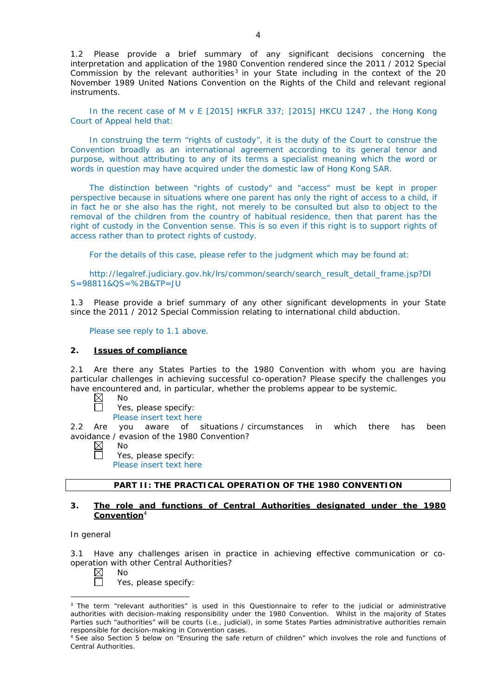1.2 Please provide a brief summary of any significant decisions concerning the interpretation and application of the 1980 Convention rendered since the 2011 / 2012 Special Commission by the relevant authorities<sup>3</sup> in your State including in the context of the 20 November 1989 United Nations Convention on the Rights of the Child and relevant regional instruments.

In the recent case of M v E [2015] HKFLR 337; [2015] HKCU 1247 , the Hong Kong Court of Appeal held that:

In construing the term "rights of custody", it is the duty of the Court to construe the Convention broadly as an international agreement according to its general tenor and purpose, without attributing to any of its terms a specialist meaning which the word or words in question may have acquired under the domestic law of Hong Kong SAR.

The distinction between "rights of custody" and "access" must be kept in proper perspective because in situations where one parent has only the right of access to a child, if in fact he or she also has the right, not merely to be consulted but also to object to the removal of the children from the country of habitual residence, then that parent has the right of custody in the Convention sense. This is so even if this right is to support rights of access rather than to protect rights of custody.

For the details of this case, please refer to the judgment which may be found at:

http://legalref.judiciary.gov.hk/lrs/common/search/search\_result\_detail\_frame.jsp?DI S=98811&QS=%2B&TP=JU

1.3 Please provide a brief summary of any other significant developments in your State since the 2011 / 2012 Special Commission relating to international child abduction.

Please see reply to 1.1 above.

## **2. Issues of compliance**

2.1 Are there any States Parties to the 1980 Convention with whom you are having particular challenges in achieving successful co-operation? Please specify the challenges you have encountered and, in particular, whether the problems appear to be systemic.<br>  $\boxtimes$  No

- No
- Yes, please specify:

Please insert text here

2.2 Are you aware of situations / circumstances in which there has been avoidance / evasion of the 1980 Convention?

- $\boxtimes$ No
	- Yes, please specify:
	- Please insert text here

## **PART II: THE PRACTICAL OPERATION OF THE 1980 CONVENTION**

## **3. The role and functions of Central Authorities designated under the 1980 Convention**<sup>4</sup>

#### *In general*

 $\Box$ 

-

3.1 Have any challenges arisen in practice in achieving effective communication or cooperation with other Central Authorities?

|  | ו<br>١ı |
|--|---------|
|  |         |

Yes, please specify:

<sup>&</sup>lt;sup>3</sup> The term "relevant authorities" is used in this Questionnaire to refer to the judicial or administrative authorities with decision-making responsibility under the 1980 Convention. Whilst in the majority of States Parties such "authorities" will be courts (*i.e.*, judicial), in some States Parties administrative authorities remain responsible for decision-making in Convention cases.

<sup>&</sup>lt;sup>4</sup> See also Section 5 below on "Ensuring the safe return of children" which involves the role and functions of Central Authorities.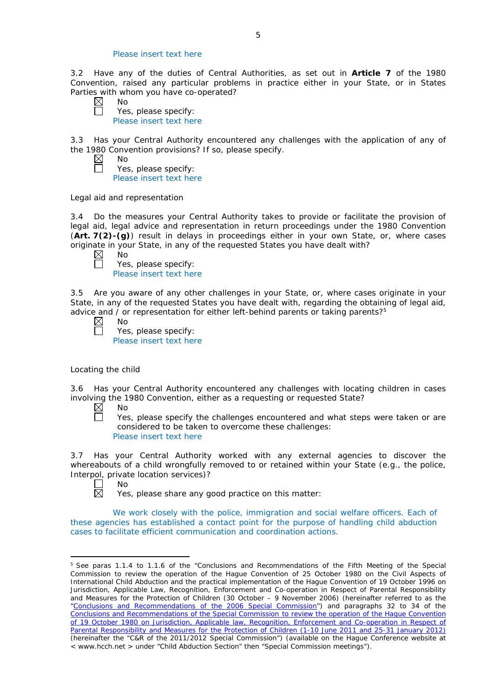### Please insert text here

3.2 Have any of the duties of Central Authorities, as set out in **Article 7** of the 1980 Convention, raised any particular problems in practice either in your State, or in States Parties with whom you have co-operated?

 $\boxtimes$ No Ħ

 $\Box$ 

Yes, please specify: Please insert text here

3.3 Has your Central Authority encountered any challenges with the application of any of the 1980 Convention provisions? If so, please specify.  $\boxtimes$ 

No Yes, please specify: Please insert text here

### *Legal aid and representation*

3.4 Do the measures your Central Authority takes to provide or facilitate the provision of legal aid, legal advice and representation in return proceedings under the 1980 Convention (**Art. 7(2)-(g)**) result in delays in proceedings either in your own State, or, where cases originate in your State, in any of the requested States you have dealt with?<br>  $\boxtimes$  No<br>
Yes, please specify:

| ⇃ | N٥                      |
|---|-------------------------|
|   | Yes, please specify:    |
|   | Please insert text here |

3.5 Are you aware of any other challenges in your State, or, where cases originate in your State, in any of the requested States you have dealt with, regarding the obtaining of legal aid, advice and / or representation for either left-behind parents or taking parents?<sup>5</sup>

| л<br>ר |
|--------|
|        |

| .                       |
|-------------------------|
| Yes, please specify:    |
| Please insert text here |

#### *Locating the child*

3.6 Has your Central Authority encountered any challenges with locating children in cases involving the 1980 Convention, either as a requesting or requested State?

- $\boxtimes$ No
	- Yes, please specify the challenges encountered and what steps were taken or are considered to be taken to overcome these challenges: Please insert text here

3.7 Has your Central Authority worked with any external agencies to discover the whereabouts of a child wrongfully removed to or retained within your State (*e.g.*, the police, Interpol, private location services)?

 $\Box$ No  $\overline{\boxtimes}$ 

<u>.</u>

Yes, please share any good practice on this matter:

We work closely with the police, immigration and social welfare officers. Each of these agencies has established a contact point for the purpose of handling child abduction cases to facilitate efficient communication and coordination actions.

<sup>5</sup> See paras 1.1.4 to 1.1.6 of the "Conclusions and Recommendations of the Fifth Meeting of the Special Commission to review the operation of the *Hague Convention of 25 October 1980 on the Civil Aspects of International Child Abduction* and the practical implementation of the *Hague Convention of 19 October 1996 on Jurisdiction, Applicable Law, Recognition, Enforcement and Co-operation in Respect of Parental Responsibility and Measures for the Protection of Children* (30 October – 9 November 2006) (hereinafter referred to as the ["Conclusions and Recommendations of the 2006 Special Commission"](https://assets.hcch.net/upload/concl28sc5_e.pdf)) and paragraphs 32 to 34 of the [Conclusions and Recommendations of the Special Commission](https://assets.hcch.net/upload/wop/concl28sc6_e.pdf) to review the operation of the Hague Convention of *[19 October 1980 on Jurisdiction, Applicable law, Recognition, Enforcement and Co-operation in Respect of](https://assets.hcch.net/upload/wop/concl28sc6_e.pdf)  [Parental Responsibility and Measures for the Protection of Children](https://assets.hcch.net/upload/wop/concl28sc6_e.pdf)* (1-10 June 2011 and 25-31 January 2012) (hereinafter the "C&R of the 2011/2012 Special Commission") (available on the Hague Conference website at < www.hcch.net > under "Child Abduction Section" then "Special Commission meetings").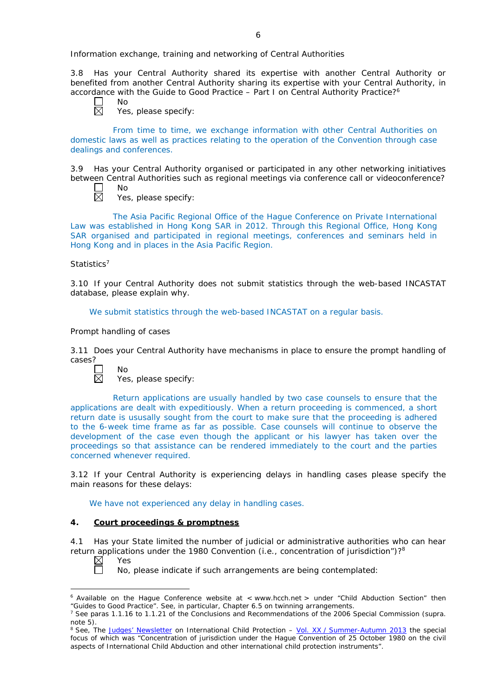*Information exchange, training and networking of Central Authorities*

3.8 Has your Central Authority shared its expertise with another Central Authority or benefited from another Central Authority sharing its expertise with your Central Authority, in accordance with the Guide to Good Practice – Part I on Central Authority Practice?6

 $\Box$  $\overline{\boxtimes}$ 

No

Yes, please specify:

From time to time, we exchange information with other Central Authorities on domestic laws as well as practices relating to the operation of the Convention through case dealings and conferences.

3.9 Has your Central Authority organised or participated in any other networking initiatives between Central Authorities such as regional meetings via conference call or videoconference? No

- П 岗
- Yes, please specify:

The Asia Pacific Regional Office of the Hague Conference on Private International Law was established in Hong Kong SAR in 2012. Through this Regional Office, Hong Kong SAR organised and participated in regional meetings, conferences and seminars held in Hong Kong and in places in the Asia Pacific Region.

### *Statistics*<sup>7</sup>

3.10 If your Central Authority does not submit statistics through the web-based INCASTAT database, please explain why.

We submit statistics through the web-based INCASTAT on a regular basis.

### *Prompt handling of cases*

 $N<sub>0</sub>$ 

3.11 Does your Central Authority have mechanisms in place to ensure the prompt handling of cases?



Yes, please specify:

Return applications are usually handled by two case counsels to ensure that the applications are dealt with expeditiously. When a return proceeding is commenced, a short return date is ususally sought from the court to make sure that the proceeding is adhered to the 6-week time frame as far as possible. Case counsels will continue to observe the development of the case even though the applicant or his lawyer has taken over the proceedings so that assistance can be rendered immediately to the court and the parties concerned whenever required.

3.12 If your Central Authority is experiencing delays in handling cases please specify the main reasons for these delays:

We have not experienced any delay in handling cases.

## **4. Court proceedings & promptness**

4.1 Has your State limited the number of judicial or administrative authorities who can hear return applications under the 1980 Convention (*i.e.*, concentration of jurisdiction")?8 Yes

 $\boxtimes$  $\Box$ 

<u>.</u>

No, please indicate if such arrangements are being contemplated:

 $6$  Available on the Hague Conference website at < www.hcch.net > under "Child Abduction Section" then "Guides to Good Practice". See, in particular, Chapter 6.5 on twinning arrangements.

<sup>7</sup> See paras 1.1.16 to 1.1.21 of the Conclusions and Recommendations of the 2006 Special Commission (*supra.*  note 5).

<sup>8</sup> See, *The [Judges' Newsletter](https://www.hcch.net/en/instruments/conventions/publications2/judges-newsletter)* on International Child Protection – Vol. XX / [Summer-Autumn 2013](https://assets.hcch.net/upload/newsletter/nl2013tome20en.pdf) the special focus of which was "Concentration of jurisdiction under the *Hague Convention of 25 October 1980 on the civil aspects of International Child Abduction* and other international child protection instruments".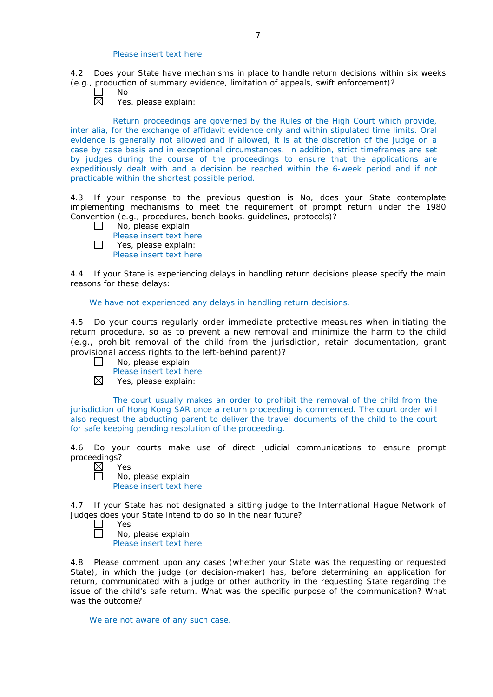## Please insert text here

4.2 Does your State have mechanisms in place to handle return decisions within six weeks (*e.g.*, production of summary evidence, limitation of appeals, swift enforcement)?

岗

No

Yes, please explain:

Return proceedings are governed by the Rules of the High Court which provide, inter alia, for the exchange of affidavit evidence only and within stipulated time limits. Oral evidence is generally not allowed and if allowed, it is at the discretion of the judge on a case by case basis and in exceptional circumstances. In addition, strict timeframes are set by judges during the course of the proceedings to ensure that the applications are expeditiously dealt with and a decision be reached within the 6-week period and if not practicable within the shortest possible period.

4.3 If your response to the previous question is No, does your State contemplate implementing mechanisms to meet the requirement of prompt return under the 1980 Convention (*e.g.*, procedures, bench-books, guidelines, protocols)?

 $\Box$ No, please explain: Please insert text here  $\Box$ Yes, please explain:

Please insert text here

4.4 If your State is experiencing delays in handling return decisions please specify the main reasons for these delays:

We have not experienced any delays in handling return decisions.

4.5 Do your courts regularly order immediate protective measures when initiating the return procedure, so as to prevent a new removal and minimize the harm to the child (*e.g.*, prohibit removal of the child from the jurisdiction, retain documentation, grant provisional access rights to the left-behind parent)?

- No, please explain:  $\Box$ 
	- Please insert text here
- $\boxtimes$ Yes, please explain:

The court usually makes an order to prohibit the removal of the child from the jurisdiction of Hong Kong SAR once a return proceeding is commenced. The court order will also request the abducting parent to deliver the travel documents of the child to the court for safe keeping pending resolution of the proceeding.

4.6 Do your courts make use of direct judicial communications to ensure prompt proceedings?

| ٧ |
|---|

 $\Box$ 

No, please explain: Please insert text here

4.7 If your State has not designated a sitting judge to the International Hague Network of Judges does your State intend to do so in the near future?

- Yes  $\Box$ 
	- No, please explain:

Please insert text here

4.8 Please comment upon any cases (whether your State was the requesting or requested State), in which the judge (or decision-maker) has, before determining an application for return, communicated with a judge or other authority in the requesting State regarding the issue of the child's safe return. What was the specific purpose of the communication? What was the outcome?

We are not aware of any such case.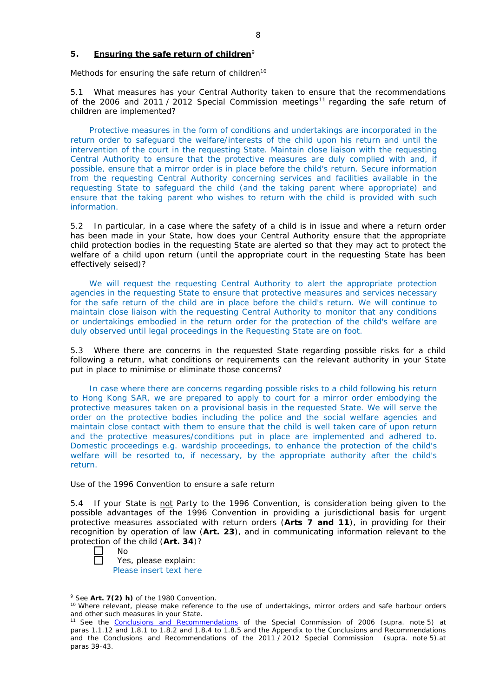## **5. Ensuring the safe return of children**<sup>9</sup>

*Methods for ensuring the safe return of children*<sup>10</sup>

5.1 What measures has your Central Authority taken to ensure that the recommendations of the 2006 and 2011 / 2012 Special Commission meetings<sup>11</sup> regarding the safe return of children are implemented?

Protective measures in the form of conditions and undertakings are incorporated in the return order to safeguard the welfare/interests of the child upon his return and until the intervention of the court in the requesting State. Maintain close liaison with the requesting Central Authority to ensure that the protective measures are duly complied with and, if possible, ensure that a mirror order is in place before the child's return. Secure information from the requesting Central Authority concerning services and facilities available in the requesting State to safeguard the child (and the taking parent where appropriate) and ensure that the taking parent who wishes to return with the child is provided with such information.

5.2 In particular, in a case where the safety of a child is in issue and where a return order has been made in your State, how does your Central Authority ensure that the appropriate child protection bodies in the *requesting* State are alerted so that they may act to protect the welfare of a child upon return (until the appropriate court in the requesting State has been effectively seised)?

We will request the requesting Central Authority to alert the appropriate protection agencies in the requesting State to ensure that protective measures and services necessary for the safe return of the child are in place before the child's return. We will continue to maintain close liaison with the requesting Central Authority to monitor that any conditions or undertakings embodied in the return order for the protection of the child's welfare are duly observed until legal proceedings in the Requesting State are on foot.

5.3 Where there are concerns in the requested State regarding possible risks for a child following a return, what conditions or requirements can the relevant authority in your State put in place to minimise or eliminate those concerns?

In case where there are concerns regarding possible risks to a child following his return to Hong Kong SAR, we are prepared to apply to court for a mirror order embodying the protective measures taken on a provisional basis in the requested State. We will serve the order on the protective bodies including the police and the social welfare agencies and maintain close contact with them to ensure that the child is well taken care of upon return and the protective measures/conditions put in place are implemented and adhered to. Domestic proceedings e.g. wardship proceedings, to enhance the protection of the child's welfare will be resorted to, if necessary, by the appropriate authority after the child's return.

## *Use of the 1996 Convention to ensure a safe return*

5.4 If your State is not Party to the 1996 Convention, is consideration being given to the possible advantages of the 1996 Convention in providing a jurisdictional basis for urgent protective measures associated with return orders (**Arts 7 and 11**), in providing for their recognition by operation of law (**Art. 23**), and in communicating information relevant to the protection of the child (**Art. 34**)?

No  $\Box$ 

Yes, please explain: Please insert text here

<sup>&</sup>lt;u>.</u>

<sup>&</sup>lt;sup>9</sup> See Art. 7(2) *h*) of the 1980 Convention.<br><sup>10</sup> Where relevant, please make reference to the use of undertakings, mirror orders and safe harbour orders and other such measures in your State.

<sup>11</sup> See the [Conclusions and Recommendations](https://assets.hcch.net/upload/concl28sc5_e.pdf) of the Special Commission of 2006 (*supra.* note 5) at paras 1.1.12 and 1.8.1 to 1.8.2 and 1.8.4 to 1.8.5 and the Appendix to the Conclusions and Recommendations and the [Conclusions and Recommendations](https://assets.hcch.net/upload/wop/concl28sc6_e.pdf) of the 2011 / 2012 Special Commission (*supra.* note 5).at paras 39-43.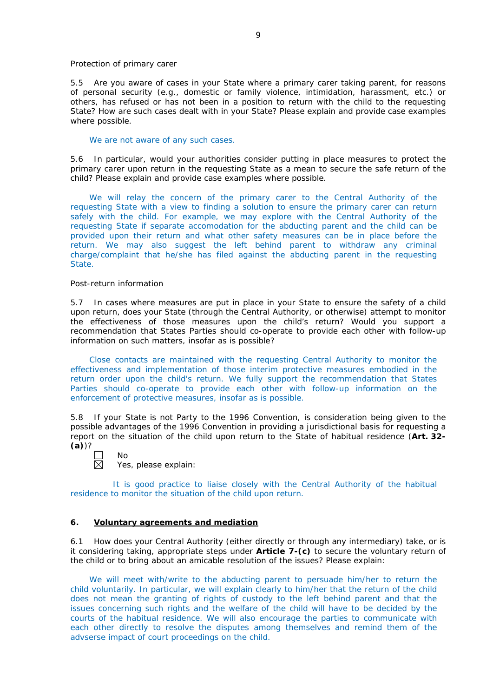#### *Protection of primary carer*

5.5 Are you aware of cases in your State where a primary carer taking parent, for reasons of personal security (*e.g.*, domestic or family violence, intimidation, harassment, etc.) or others, has refused or has not been in a position to return with the child to the requesting State? How are such cases dealt with in your State? Please explain and provide case examples where possible.

#### We are not aware of any such cases.

5.6 In particular, would your authorities consider putting in place measures to protect the primary carer upon return in the requesting State as a mean to secure the safe return of the child? Please explain and provide case examples where possible.

We will relay the concern of the primary carer to the Central Authority of the requesting State with a view to finding a solution to ensure the primary carer can return safely with the child. For example, we may explore with the Central Authority of the requesting State if separate accomodation for the abducting parent and the child can be provided upon their return and what other safety measures can be in place before the return. We may also suggest the left behind parent to withdraw any criminal charge/complaint that he/she has filed against the abducting parent in the requesting State.

#### *Post-return information*

5.7 In cases where measures are put in place in your State to ensure the safety of a child upon return, does your State (through the Central Authority, or otherwise) attempt to monitor the effectiveness of those measures upon the child's return? Would you support a recommendation that States Parties should co-operate to provide each other with follow-up information on such matters, insofar as is possible?

Close contacts are maintained with the requesting Central Authority to monitor the effectiveness and implementation of those interim protective measures embodied in the return order upon the child's return. We fully support the recommendation that States Parties should co-operate to provide each other with follow-up information on the enforcement of protective measures, insofar as is possible.

5.8 If your State is not Party to the 1996 Convention, is consideration being given to the possible advantages of the 1996 Convention in providing a jurisdictional basis for requesting a report on the situation of the child upon return to the State of habitual residence (**Art. 32- (a)**)?

Yes, please explain:

No

It is good practice to liaise closely with the Central Authority of the habitual residence to monitor the situation of the child upon return.

## **6. Voluntary agreements and mediation**

6.1 How does your Central Authority (either directly or through any intermediary) take, or is it considering taking, appropriate steps under **Article 7-(c)** to secure the voluntary return of the child or to bring about an amicable resolution of the issues? Please explain:

We will meet with/write to the abducting parent to persuade him/her to return the child voluntarily. In particular, we will explain clearly to him/her that the return of the child does not mean the granting of rights of custody to the left behind parent and that the issues concerning such rights and the welfare of the child will have to be decided by the courts of the habitual residence. We will also encourage the parties to communicate with each other directly to resolve the disputes among themselves and remind them of the advserse impact of court proceedings on the child.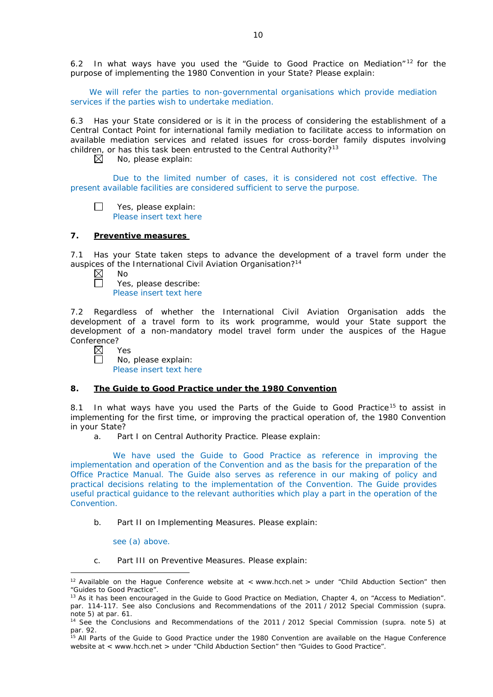6.2 In what ways have you used the "Guide to Good Practice on Mediation" <sup>12</sup> for the purpose of implementing the 1980 Convention in your State? Please explain:

We will refer the parties to non-governmental organisations which provide mediation services if the parties wish to undertake mediation.

6.3 Has your State considered or is it in the process of considering the establishment of a Central Contact Point for international family mediation to facilitate access to information on available mediation services and related issues for cross-border family disputes involving children, or has this task been entrusted to the Central Authority?<sup>13</sup><br>
No, please explain:

No, please explain:

Due to the limited number of cases, it is considered not cost effective. The present available facilities are considered sufficient to serve the purpose.

Yes, please explain:  $\Box$ Please insert text here

### **7. Preventive measures**

7.1 Has your State taken steps to advance the development of a travel form under the auspices of the International Civil Aviation Organisation?14

|  | Nο |
|--|----|
|  |    |

Yes, please describe: Please insert text here

7.2 Regardless of whether the International Civil Aviation Organisation adds the development of a travel form to its work programme, would your State support the development of a non-mandatory model travel form under the auspices of the Hague Conference?

 $\boxtimes$ Yes  $\Box$ 

No, please explain: Please insert text here

## **8. The Guide to Good Practice under the 1980 Convention**

8.1 In what ways have you used the Parts of the Guide to Good Practice<sup>15</sup> to assist in implementing for the first time, or improving the practical operation of, the 1980 Convention in your State?

a. Part I on Central Authority Practice. Please explain:

We have used the Guide to Good Practice as reference in improving the implementation and operation of the Convention and as the basis for the preparation of the Office Practice Manual. The Guide also serves as reference in our making of policy and practical decisions relating to the implementation of the Convention. The Guide provides useful practical guidance to the relevant authorities which play a part in the operation of the Convention.

b. Part II on Implementing Measures. Please explain:

see (a) above.

<u>.</u>

c. Part III on Preventive Measures. Please explain:

<sup>&</sup>lt;sup>12</sup> Available on the Hague Conference website at < www.hcch.net > under "Child Abduction Section" then "Guides to Good Practice".

<sup>&</sup>lt;sup>13</sup> As it has been encouraged in the Guide to Good Practice on Mediation, Chapter 4, on "Access to Mediation". par. 114-117. See also [Conclusions and Recommendations of the 2011](https://assets.hcch.net/upload/wop/concl28sc6_e.pdf) / 2012 Special Commission (*supra.*  .<br>note 5) at par. 61.

<sup>14</sup> See the [Conclusions and Recommendations of the 2011](https://assets.hcch.net/upload/wop/concl28sc6_e.pdf) / 2012 Special Commission (*supra.* note 5) at par. 92.

<sup>&</sup>lt;sup>15</sup> All Parts of the Guide to Good Practice under the 1980 Convention are available on the Hague Conference website at < www.hcch.net > under "Child Abduction Section" then "Guides to Good Practice".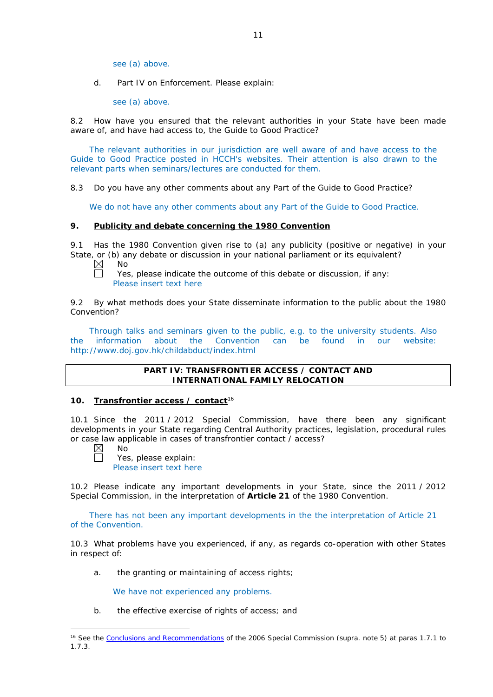see (a) above.

d. Part IV on Enforcement. Please explain:

see (a) above.

8.2 How have you ensured that the relevant authorities in your State have been made aware of, and have had access to, the Guide to Good Practice?

The relevant authorities in our jurisdiction are well aware of and have access to the Guide to Good Practice posted in HCCH's websites. Their attention is also drawn to the relevant parts when seminars/lectures are conducted for them.

8.3 Do you have any other comments about any Part of the Guide to Good Practice?

We do not have any other comments about any Part of the Guide to Good Practice.

#### **9. Publicity and debate concerning the 1980 Convention**

9.1 Has the 1980 Convention given rise to (a) any publicity (positive or negative) in your State, or (b) any debate or discussion in your national parliament or its equivalent?

 $\boxtimes$ No 戸

Yes, please indicate the outcome of this debate or discussion, if any: Please insert text here

9.2 By what methods does your State disseminate information to the public about the 1980 Convention?

Through talks and seminars given to the public, e.g. to the university students. Also the information about the Convention can be found in our website: http://www.doj.gov.hk/childabduct/index.html

## **PART IV: TRANSFRONTIER ACCESS / CONTACT AND INTERNATIONAL FAMILY RELOCATION**

#### **10. Transfrontier access / contact**<sup>16</sup>

10.1 Since the 2011 / 2012 Special Commission, have there been any significant developments in your State regarding Central Authority practices, legislation, procedural rules or case law applicable in cases of transfrontier contact / access?

 $\boxtimes$ П

-

No

Yes, please explain: Please insert text here

10.2 Please indicate any important developments in your State, since the 2011 / 2012 Special Commission, in the interpretation of **Article 21** of the 1980 Convention.

There has not been any important developments in the the interpretation of Article 21 of the Convention.

10.3 What problems have you experienced, if any, as regards co-operation with other States in respect of:

a. the granting or maintaining of access rights;

We have not experienced any problems.

b. the effective exercise of rights of access; and

<sup>16</sup> See the [Conclusions and Recommendations](https://assets.hcch.net/upload/concl28sc5_e.pdf) of the 2006 Special Commission (*supra.* note 5) at paras 1.7.1 to 1.7.3.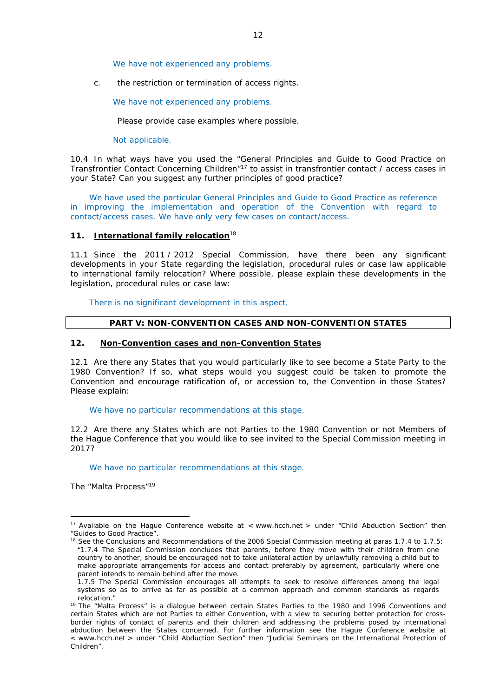We have not experienced any problems.

c. the restriction or termination of access rights.

We have not experienced any problems.

Please provide case examples where possible.

Not applicable.

10.4 In what ways have you used the "General Principles and Guide to Good Practice on Transfrontier Contact Concerning Children"17 to assist in transfrontier contact / access cases in your State? Can you suggest any further principles of good practice?

We have used the particular General Principles and Guide to Good Practice as reference in improving the implementation and operation of the Convention with regard to contact/access cases. We have only very few cases on contact/access.

### **11. International family relocation**<sup>18</sup>

11.1 Since the 2011 / 2012 Special Commission, have there been any significant developments in your State regarding the legislation, procedural rules or case law applicable to international family relocation? Where possible, please explain these developments in the legislation, procedural rules or case law:

There is no significant development in this aspect.

### **PART V: NON-CONVENTION CASES AND NON-CONVENTION STATES**

### **12. Non-Convention cases and non-Convention States**

12.1 Are there any States that you would particularly like to see become a State Party to the 1980 Convention? If so, what steps would you suggest could be taken to promote the Convention and encourage ratification of, or accession to, the Convention in those States? Please explain:

We have no particular recommendations at this stage.

12.2 Are there any States which are not Parties to the 1980 Convention or not Members of the Hague Conference that you would like to see invited to the Special Commission meeting in 2017?

We have no particular recommendations at this stage.

*The "Malta Process"*<sup>19</sup>

-

<sup>&</sup>lt;sup>17</sup> Available on the Hague Conference website at < www.hcch.net > under "Child Abduction Section" then "Guides to Good Practice".

<sup>&</sup>lt;sup>18</sup> See the Conclusions and Recommendations of the 2006 Special Commission meeting at paras 1.7.4 to 1.7.5: *"*1.7.4 The Special Commission concludes that parents, before they move with their children from one country to another, should be encouraged not to take unilateral action by unlawfully removing a child but to make appropriate arrangements for access and contact preferably by agreement, particularly where one parent intends to remain behind after the move.

<sup>1.7.5</sup> The Special Commission encourages all attempts to seek to resolve differences among the legal systems so as to arrive as far as possible at a common approach and common standards as regards

relocation."<br><sup>19</sup> The "Malta Process" is a dialogue between certain States Parties to the 1980 and 1996 Conventions and certain States which are not Parties to either Convention, with a view to securing better protection for crossborder rights of contact of parents and their children and addressing the problems posed by international abduction between the States concerned. For further information see the Hague Conference website at < www.hcch.net > under "Child Abduction Section" then "Judicial Seminars on the International Protection of Children".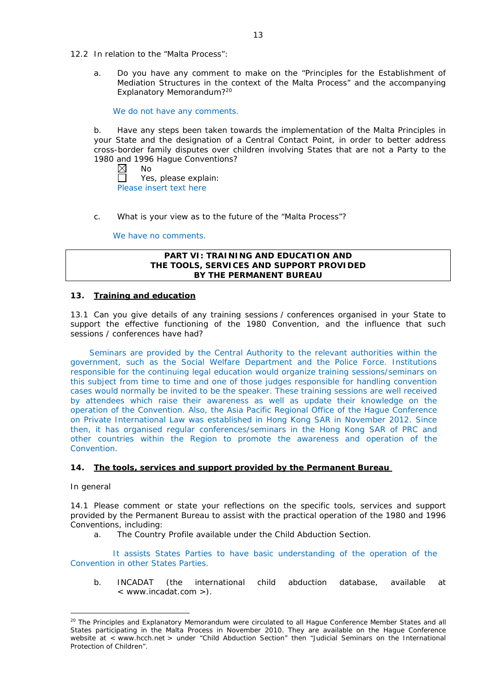- 12.2 In relation to the "Malta Process":
	- a. Do you have any comment to make on the "Principles for the Establishment of Mediation Structures in the context of the Malta Process" and the accompanying Explanatory Memorandum?20

We do not have any comments.

b. Have any steps been taken towards the implementation of the Malta Principles in your State and the designation of a Central Contact Point, in order to better address cross-border family disputes over children involving States that are not a Party to the 1980 and 1996 Hague Conventions?<br>
M No

No  $\Box$ Yes, please explain: Please insert text here

c. What is your view as to the future of the "Malta Process"?

We have no comments.

### **PART VI: TRAINING AND EDUCATION AND THE TOOLS, SERVICES AND SUPPORT PROVIDED BY THE PERMANENT BUREAU**

## **13. Training and education**

13.1 Can you give details of any training sessions / conferences organised in your State to support the effective functioning of the 1980 Convention, and the influence that such sessions / conferences have had?

Seminars are provided by the Central Authority to the relevant authorities within the government, such as the Social Welfare Department and the Police Force. Institutions responsible for the continuing legal education would organize training sessions/seminars on this subject from time to time and one of those judges responsible for handling convention cases would normally be invited to be the speaker. These training sessions are well received by attendees which raise their awareness as well as update their knowledge on the operation of the Convention. Also, the Asia Pacific Regional Office of the Hague Conference on Private International Law was established in Hong Kong SAR in November 2012. Since then, it has organised regular conferences/seminars in the Hong Kong SAR of PRC and other countries within the Region to promote the awareness and operation of the Convention.

# **14. The tools, services and support provided by the Permanent Bureau**

#### *In general*

-

14.1 Please comment or state your reflections on the specific tools, services and support provided by the Permanent Bureau to assist with the practical operation of the 1980 and 1996 Conventions, including:

a. The Country Profile available under the Child Abduction Section.

It assists States Parties to have basic understanding of the operation of the Convention in other States Parties.

b. INCADAT (the international child abduction database, available at < www.incadat.com >).

<sup>&</sup>lt;sup>20</sup> The Principles and Explanatory Memorandum were circulated to all Hague Conference Member States and all States participating in the Malta Process in November 2010. They are available on the Hague Conference website at < www.hcch.net > under "Child Abduction Section" then "Judicial Seminars on the International Protection of Children".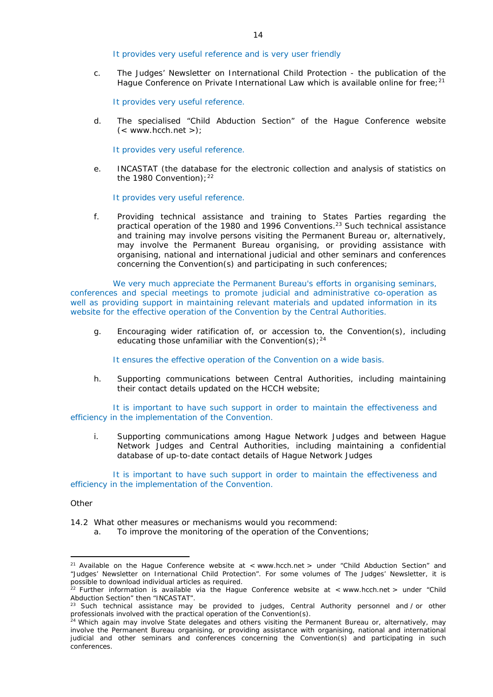It provides very useful reference and is very user friendly

c. *The Judges' Newsletter* on International Child Protection - the publication of the Hague Conference on Private International Law which is available online for free;<sup>21</sup>

It provides very useful reference.

d. The specialised "Child Abduction Section" of the Hague Conference website  $(<$  www.hcch.net >);

It provides very useful reference.

e. INCASTAT (the database for the electronic collection and analysis of statistics on the 1980 Convention);  $22$ 

It provides very useful reference.

f. Providing technical assistance and training to States Parties regarding the practical operation of the 1980 and 1996 Conventions.<sup>23</sup> Such technical assistance and training may involve persons visiting the Permanent Bureau or, alternatively, may involve the Permanent Bureau organising, or providing assistance with organising, national and international judicial and other seminars and conferences concerning the Convention(s) and participating in such conferences;

We very much appreciate the Permanent Bureau's efforts in organising seminars, conferences and special meetings to promote judicial and administrative co-operation as well as providing support in maintaining relevant materials and updated information in its website for the effective operation of the Convention by the Central Authorities.

g. Encouraging wider ratification of, or accession to, the Convention(s), including educating those unfamiliar with the Convention(s);  $24$ 

It ensures the effective operation of the Convention on a wide basis.

h. Supporting communications between Central Authorities, including maintaining their contact details updated on the HCCH website;

It is important to have such support in order to maintain the effectiveness and efficiency in the implementation of the Convention.

i. Supporting communications among Hague Network Judges and between Hague Network Judges and Central Authorities, including maintaining a confidential database of up-to-date contact details of Hague Network Judges

It is important to have such support in order to maintain the effectiveness and efficiency in the implementation of the Convention.

*Other*

<u>.</u>

- 14.2 What other measures or mechanisms would you recommend:
	- a. To improve the monitoring of the operation of the Conventions;

<sup>&</sup>lt;sup>21</sup> Available on the Hague Conference website at < www.hcch.net > under "Child Abduction Section" and "Judges' Newsletter on International Child Protection". For some volumes of *The Judges' Newsletter*, it is possible to download individual articles as required.

<sup>&</sup>lt;sup>22</sup> Further information is available via the Hague Conference website at < www.hcch.net > under "Child Abduction Section" then "INCASTAT".

<sup>&</sup>lt;sup>23</sup> Such technical assistance may be provided to judges, Central Authority personnel and / or other professionals involved with the practical operation of the Convention(s).

<sup>&</sup>lt;sup>24</sup> Which again may involve State delegates and others visiting the Permanent Bureau or, alternatively, may involve the Permanent Bureau organising, or providing assistance with organising, national and international judicial and other seminars and conferences concerning the Convention(s) and participating in such conferences.